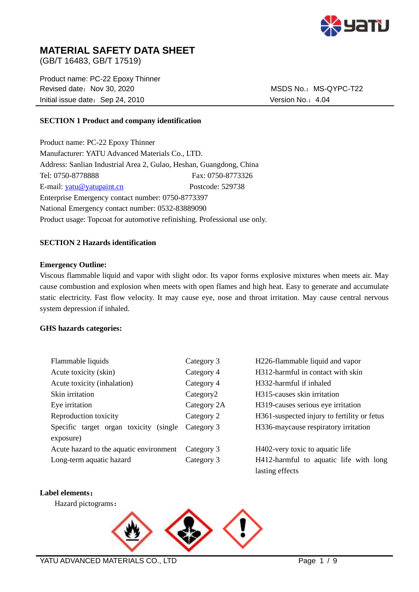

# **MATERIAL SAFETY DATA SHEET**

(GB/T 16483, GB/T 17519)

Product name: PC-22 Epoxy Thinner Revised date: Nov 30, 2020 MSDS No.: MS-QYPC-T22 Initial issue date: Sep 24, 2010 Version No.: 4.04

#### **SECTION 1 Product and company identification**

Product name: PC-22 Epoxy Thinner Manufacturer: YATU Advanced Materials Co., LTD. Address: Sanlian Industrial Area 2, Gulao, Heshan, Guangdong, China Tel: 0750-8778888 Fax: 0750-8773326 E-mail: [yatu@yatupaint.cn](mailto:yatu@yatupaint.com) Postcode: 529738 Enterprise Emergency contact number: 0750-8773397 National Emergency contact number: 0532-83889090 Product usage: Topcoat for automotive refinishing. Professional use only.

#### **SECTION 2 Hazards identification**

#### **Emergency Outline:**

Viscous flammable liquid and vapor with slight odor. Its vapor forms explosive mixtures when meets air. May cause combustion and explosion when meets with open flames and high heat. Easy to generate and accumulate static electricity. Fast flow velocity. It may cause eye, nose and throat irritation. May cause central nervous system depression if inhaled.

#### **GHS hazards categories:**

| Flammable liquids                          | Category 3            | H226-flammable liquid and vapor             |
|--------------------------------------------|-----------------------|---------------------------------------------|
| Acute toxicity (skin)                      | Category 4            | H312-harmful in contact with skin           |
| Acute toxicity (inhalation)                | Category 4            | H332-harmful if inhaled                     |
| Skin irritation                            | Category <sub>2</sub> | H <sub>3</sub> 15-causes skin irritation    |
| Eye irritation                             | Category 2A           | H319-causes serious eye irritation          |
| Reproduction toxicity                      | Category 2            | H361-suspected injury to fertility or fetus |
| Specific target organ toxicity<br>(single) | Category 3            | H336-maycause respiratory irritation        |
| exposure)                                  |                       |                                             |
| Acute hazard to the aquatic environment    | Category 3            | H402-very toxic to aquatic life             |
| Long-term aquatic hazard                   | Category 3            | H412-harmful to aquatic life with long      |
|                                            |                       | lasting effects                             |

#### **Label elements**:

Hazard pictograms:

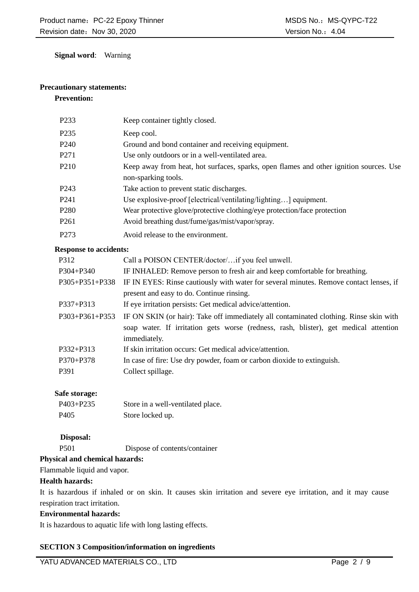**Signal word**: Warning

# **Precautionary statements:**

#### **Prevention:**

| P <sub>2</sub> 33 | Keep container tightly closed.                                                                                |
|-------------------|---------------------------------------------------------------------------------------------------------------|
| P <sub>235</sub>  | Keep cool.                                                                                                    |
| P <sub>240</sub>  | Ground and bond container and receiving equipment.                                                            |
| P <sub>271</sub>  | Use only outdoors or in a well-ventilated area.                                                               |
| P <sub>210</sub>  | Keep away from heat, hot surfaces, sparks, open flames and other ignition sources. Use<br>non-sparking tools. |
| P <sub>243</sub>  | Take action to prevent static discharges.                                                                     |
| P <sub>241</sub>  | Use explosive-proof [electrical/ventilating/lighting] equipment.                                              |
| P <sub>280</sub>  | Wear protective glove/protective clothing/eye protection/face protection                                      |
| P <sub>261</sub>  | Avoid breathing dust/fume/gas/mist/vapor/spray.                                                               |
| P <sub>273</sub>  | Avoid release to the environment.                                                                             |

#### **Response to accidents:**

| P312           | Call a POISON CENTER/doctor/if you feel unwell.                                        |  |
|----------------|----------------------------------------------------------------------------------------|--|
| P304+P340      | IF INHALED: Remove person to fresh air and keep comfortable for breathing.             |  |
| P305+P351+P338 | IF IN EYES: Rinse cautiously with water for several minutes. Remove contact lenses, if |  |
|                | present and easy to do. Continue rinsing.                                              |  |
| P337+P313      | If eye irritation persists: Get medical advice/attention.                              |  |
| P303+P361+P353 | IF ON SKIN (or hair): Take off immediately all contaminated clothing. Rinse skin with  |  |
|                | soap water. If irritation gets worse (redness, rash, blister), get medical attention   |  |
|                | immediately.                                                                           |  |
| P332+P313      | If skin irritation occurs: Get medical advice/attention.                               |  |
| $P370 + P378$  | In case of fire: Use dry powder, foam or carbon dioxide to extinguish.                 |  |
| P391           | Collect spillage.                                                                      |  |
|                |                                                                                        |  |

# **Safe storage:**

| $P403 + P235$    | Store in a well-ventilated place. |
|------------------|-----------------------------------|
| P <sub>405</sub> | Store locked up.                  |

# **Disposal:**

P501 Dispose of contents/container

# **Physical and chemical hazards:**

Flammable liquid and vapor.

# **Health hazards:**

It is hazardous if inhaled or on skin. It causes skin irritation and severe eye irritation, and it may cause respiration tract irritation.

# **Environmental hazards:**

It is hazardous to aquatic life with long lasting effects.

# **SECTION 3 Composition/information on ingredients**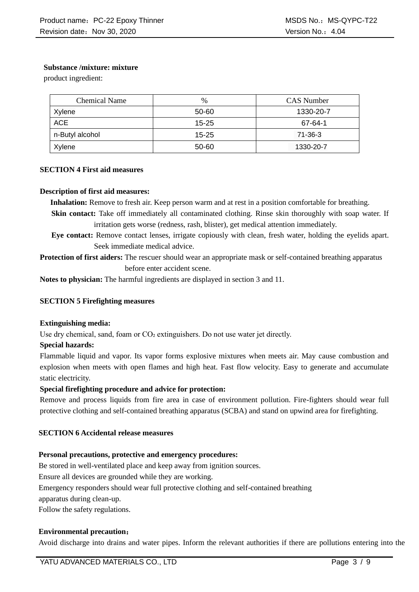# **Substance /mixture: mixture**

product ingredient:

| Chemical Name   | $\%$      | CAS Number |
|-----------------|-----------|------------|
| Xylene          | 50-60     | 1330-20-7  |
| ACE             | $15 - 25$ | 67-64-1    |
| n-Butyl alcohol | $15 - 25$ | 71-36-3    |
| Xylene          | 50-60     | 1330-20-7  |

# **SECTION 4 First aid measures**

#### **Description of first aid measures:**

**Inhalation:** Remove to fresh air. Keep person warm and at rest in a position comfortable for breathing.

- **Skin contact:** Take off immediately all contaminated clothing. Rinse skin thoroughly with soap water. If irritation gets worse (redness, rash, blister), get medical attention immediately.
- **Eye contact:** Remove contact lenses, irrigate copiously with clean, fresh water, holding the eyelids apart. Seek immediate medical advice.

**Protection of first aiders:** The rescuer should wear an appropriate mask or self-contained breathing apparatus before enter accident scene.

**Notes to physician:** The harmful ingredients are displayed in section 3 and 11.

# **SECTION 5 Firefighting measures**

#### **Extinguishing media:**

Use dry chemical, sand, foam or CO2 extinguishers. Do not use water jet directly.

#### **Special hazards:**

Flammable liquid and vapor. Its vapor forms explosive mixtures when meets air. May cause combustion and explosion when meets with open flames and high heat. Fast flow velocity. Easy to generate and accumulate static electricity.

# **Special firefighting procedure and advice for protection:**

Remove and process liquids from fire area in case of environment pollution. Fire-fighters should wear full protective clothing and self-contained breathing apparatus (SCBA) and stand on upwind area for firefighting.

#### **SECTION 6 Accidental release measures**

#### **Personal precautions, protective and emergency procedures:**

Be stored in well-ventilated place and keep away from ignition sources.

Ensure all devices are grounded while they are working.

Emergency responders should wear full protective clothing and self-contained breathing

apparatus during clean-up.

Follow the safety regulations.

# **Environmental precaution**:

Avoid discharge into drains and water pipes. Inform the relevant authorities if there are pollutions entering into the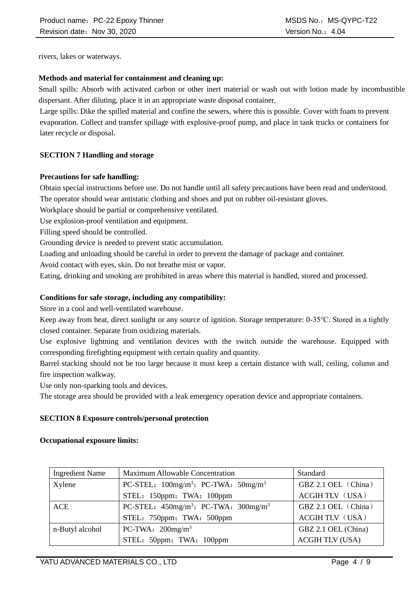rivers, lakes or waterways.

# **Methods and material for containment and cleaning up:**

Small spills: Absorb with activated carbon or other inert material or wash out with lotion made by incombustible dispersant. After diluting, place it in an appropriate waste disposal container.

Large spills: Dike the spilled material and confine the sewers, where this is possible. Cover with foam to prevent evaporation. Collect and transfer spillage with explosive-proof pump, and place in tank trucks or containers for later recycle or disposal.

# **SECTION 7 Handling and storage**

# **Precautions for safe handling:**

Obtain special instructions before use. Do not handle until all safety precautions have been read and understood. The operator should wear antistatic clothing and shoes and put on rubber oil-resistant gloves.

Workplace should be partial or comprehensive ventilated.

Use explosion-proof ventilation and equipment.

Filling speed should be controlled.

Grounding device is needed to prevent static accumulation.

Loading and unloading should be careful in order to prevent the damage of package and container.

Avoid contact with eyes, skin. Do not breathe mist or vapor.

Eating, drinking and smoking are prohibited in areas where this material is handled, stored and processed.

# **Conditions for safe storage, including any compatibility:**

Store in a cool and well-ventilated warehouse.

Keep away from heat, direct sunlight or any source of ignition. Storage temperature: 0-35℃. Stored in a tightly closed container. Separate from oxidizing materials.

Use explosive lightning and ventilation devices with the switch outside the warehouse. Equipped with corresponding firefighting equipment with certain quality and quantity.

Barrel stacking should not be too large because it must keep a certain distance with wall, ceiling, column and fire inspection walkway.

Use only non-sparking tools and devices.

The storage area should be provided with a leak emergency operation device and appropriate containers.

#### **SECTION 8 Exposure controls/personal protection**

#### **Occupational exposure limits:**

| <b>Ingredient Name</b> | Maximum Allowable Concentration                                    | Standard               |
|------------------------|--------------------------------------------------------------------|------------------------|
| Xylene                 | PC-STEL: $100$ mg/m <sup>3</sup> ; PC-TWA: $50$ mg/m <sup>3</sup>  | GBZ 2.1 OEL (China)    |
|                        | STEL: 150ppm; TWA: 100ppm                                          | <b>ACGIH TLV (USA)</b> |
| ACE                    | PC-STEL: $450$ mg/m <sup>3</sup> ; PC-TWA: $300$ mg/m <sup>3</sup> | GBZ 2.1 OEL (China)    |
|                        | STEL: 750ppm; TWA: 500ppm                                          | <b>ACGIH TLV (USA)</b> |
| n-Butyl alcohol        | PC-TWA: $200$ mg/m <sup>3</sup>                                    | GBZ 2.1 OEL (China)    |
|                        | STEL: 50ppm; TWA: 100ppm                                           | <b>ACGIH TLV (USA)</b> |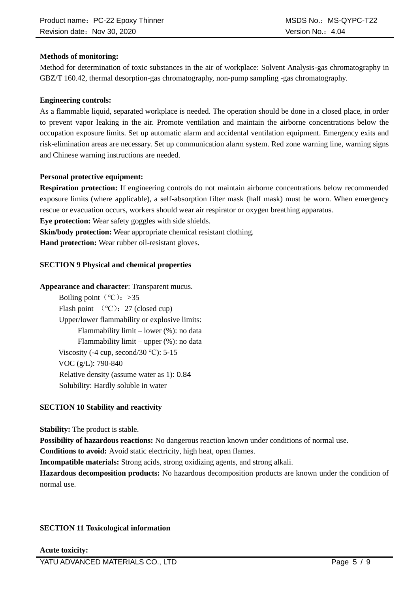# **Methods of monitoring:**

Method for determination of toxic substances in the air of workplace: Solvent Analysis-gas chromatography in GBZ/T 160.42, thermal desorption-gas chromatography, non-pump sampling -gas chromatography.

#### **Engineering controls:**

As a flammable liquid, separated workplace is needed. The operation should be done in a closed place, in order to prevent vapor leaking in the air. Promote ventilation and maintain the airborne concentrations below the occupation exposure limits. Set up automatic alarm and accidental ventilation equipment. Emergency exits and risk-elimination areas are necessary. Set up communication alarm system. Red zone warning line, warning signs and Chinese warning instructions are needed.

#### **Personal protective equipment:**

**Respiration protection:** If engineering controls do not maintain airborne concentrations below recommended exposure limits (where applicable), a self-absorption filter mask (half mask) must be worn. When emergency rescue or evacuation occurs, workers should wear air respirator or oxygen breathing apparatus.

**Eye protection:** Wear safety goggles with side shields.

**Skin/body protection:** Wear appropriate chemical resistant clothing.

**Hand protection:** Wear rubber oil-resistant gloves.

#### **SECTION 9 Physical and chemical properties**

#### **Appearance and character**: Transparent mucus.

Boiling point ( $°C$ ): >35 Flash point  $(°C)$ : 27 (closed cup) Upper/lower flammability or explosive limits: Flammability limit – lower (%): no data Flammability limit – upper (%): no data Viscosity (-4 cup, second/30  $°C$ ): 5-15 VOC (g/L): 790-840 Relative density (assume water as 1): 0.84 Solubility: Hardly soluble in water

# **SECTION 10 Stability and reactivity**

**Stability:** The product is stable.

**Possibility of hazardous reactions:** No dangerous reaction known under conditions of normal use.

**Conditions to avoid:** Avoid static electricity, high heat, open flames.

**Incompatible materials:** Strong acids, strong oxidizing agents, and strong alkali.

**Hazardous decomposition products:** No hazardous decomposition products are known under the condition of normal use.

# **SECTION 11 Toxicological information**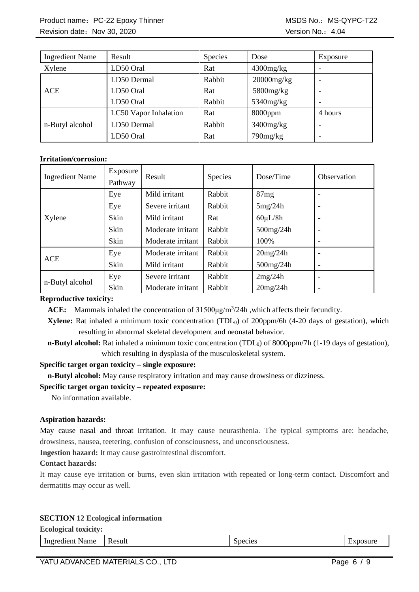Product name: PC-22 Epoxy Thinner MSDS No.: MS-QYPC-T22 Revision date: Nov 30, 2020 **Version No.:4.04** Version No.: 4.04

| <b>Ingredient Name</b> | Result                | Species | Dose            | Exposure |
|------------------------|-----------------------|---------|-----------------|----------|
| Xylene                 | LD50 Oral             | Rat     | $4300$ mg/kg    |          |
|                        | LD50 Dermal           | Rabbit  | $20000$ mg/kg   |          |
| <b>ACE</b>             | LD50 Oral             | Rat     | 5800mg/kg       |          |
|                        | LD50 Oral             | Rabbit  | $5340$ mg/kg    |          |
|                        | LC50 Vapor Inhalation | Rat     | 8000ppm         | 4 hours  |
| n-Butyl alcohol        | LD50 Dermal           | Rabbit  | $3400$ mg/ $kg$ |          |
|                        | LD50 Oral             | Rat     | $790$ mg/ $kg$  |          |

#### **Irritation/corrosion:**

| <b>Ingredient Name</b> | Exposure<br>Pathway | Result            | Species | Dose/Time     | Observation              |
|------------------------|---------------------|-------------------|---------|---------------|--------------------------|
|                        | Eye                 | Mild irritant     | Rabbit  | 87mg          |                          |
|                        | Eye                 | Severe irritant   | Rabbit  | 5mg/24h       | $\overline{\phantom{a}}$ |
| Xylene                 | Skin                | Mild irritant     | Rat     | $60 \mu L/8h$ | $\overline{\phantom{a}}$ |
|                        | Skin                | Moderate irritant | Rabbit  | 500mg/24h     | $\qquad \qquad$          |
|                        | Skin                | Moderate irritant | Rabbit  | 100%          | -                        |
| <b>ACE</b>             | Eye                 | Moderate irritant | Rabbit  | 20mg/24h      |                          |
|                        | Skin                | Mild irritant     | Rabbit  | $500$ mg/24h  | $\overline{\phantom{a}}$ |
| n-Butyl alcohol        | Eye                 | Severe irritant   | Rabbit  | 2mg/24h       | $\qquad \qquad$          |
|                        | Skin                | Moderate irritant | Rabbit  | 20mg/24h      |                          |

#### **Reproductive toxicity:**

ACE: Mammals inhaled the concentration of 31500μg/m<sup>3</sup>/24h, which affects their fecundity.

**Xylene:** Rat inhaled a minimum toxic concentration (TDL<sub>0</sub>) of 200ppm/6h (4-20 days of gestation), which resulting in abnormal skeletal development and neonatal behavior.

**n-Butyl alcohol:** Rat inhaled a minimum toxic concentration (TDL<sub>0</sub>) of 8000ppm/7h (1-19 days of gestation), which resulting in dysplasia of the musculoskeletal system.

#### **Specific target organ toxicity – single exposure:**

**n-Butyl alcohol:** May cause respiratory irritation and may cause drowsiness or dizziness.

# **Specific target organ toxicity – repeated exposure:**

No information available.

#### **Aspiration hazards:**

May cause nasal and throat irritation. It may cause neurasthenia. The typical symptoms are: headache, drowsiness, nausea, teetering, confusion of consciousness, and unconsciousness.

**Ingestion hazard:** It may cause gastrointestinal discomfort.

#### **Contact hazards:**

It may cause eye irritation or burns, even skin irritation with repeated or long-term contact. Discomfort and dermatitis may occur as well.

#### **SECTION 12 Ecological information**

| <b>Ecological toxicity:</b> |        |         |        |
|-----------------------------|--------|---------|--------|
| Ingredient<br><b>Name</b>   | Result | Species | mosure |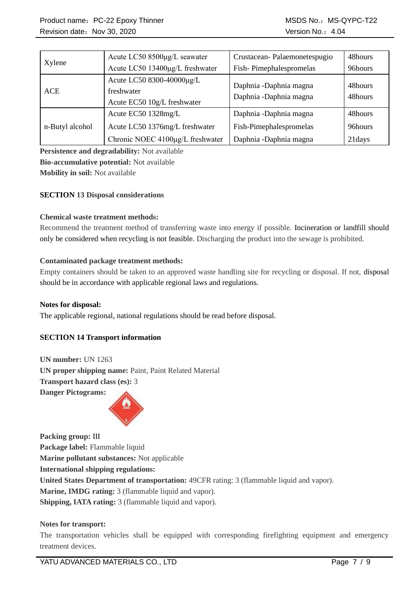|                 | Acute LC50 8500µg/L seawater     | Crustacean-Palaemonetespugio | 48hours |
|-----------------|----------------------------------|------------------------------|---------|
| Xylene          | Acute LC50 13400µg/L freshwater  | Fish-Pimephalespromelas      | 96hours |
|                 | Acute LC50 8300-40000µg/L        | Daphnia -Daphnia magna       | 48hours |
| <b>ACE</b>      | freshwater                       | Daphnia -Daphnia magna       | 48hours |
|                 | Acute EC50 10g/L freshwater      |                              |         |
|                 | Acute EC50 1328mg/L              | Daphnia -Daphnia magna       | 48hours |
| n-Butyl alcohol | Acute LC50 1376mg/L freshwater   | Fish-Pimephalespromelas      | 96hours |
|                 | Chronic NOEC 4100µg/L freshwater | Daphnia -Daphnia magna       | 21days  |

**Persistence and degradability:** Not available **Bio-accumulative potential:** Not available **Mobility in soil:** Not available

# **SECTION 13 Disposal considerations**

#### **Chemical waste treatment methods:**

Recommend the treatment method of transferring waste into energy if possible. Incineration or landfill should only be considered when recycling is not feasible. Discharging the product into the sewage is prohibited.

#### **Contaminated package treatment methods:**

Empty containers should be taken to an approved waste handling site for recycling or disposal. If not, disposal should be in accordance with applicable regional laws and regulations.

#### **Notes for disposal:**

The applicable regional, national regulations should be read before disposal.

# **SECTION 14 Transport information**

**UN number:** UN 1263 **UN proper shipping name:** Paint, Paint Related Material **Transport hazard class (es):** 3 **Danger Pictograms:** 



**Packing group:** Ⅲ **Package label:** Flammable liquid **Marine pollutant substances:** Not applicable **International shipping regulations: United States Department of transportation:** 49CFR rating: 3 (flammable liquid and vapor). **Marine, IMDG rating:** 3 (flammable liquid and vapor). **Shipping, IATA rating:** 3 (flammable liquid and vapor).

#### **Notes for transport:**

The transportation vehicles shall be equipped with corresponding firefighting equipment and emergency treatment devices.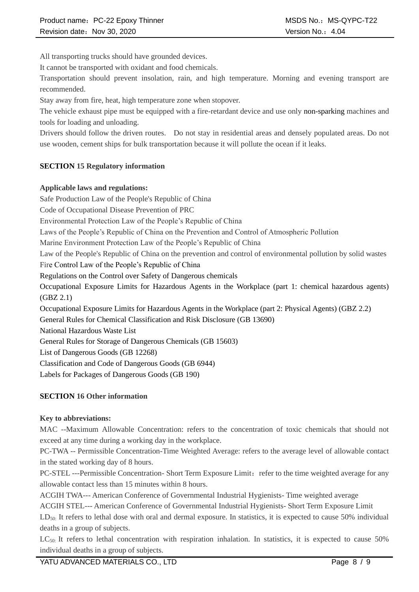All transporting trucks should have grounded devices.

It cannot be transported with oxidant and food chemicals.

Transportation should prevent insolation, rain, and high temperature. Morning and evening transport are recommended.

Stay away from fire, heat, high temperature zone when stopover.

The vehicle exhaust pipe must be equipped with a fire-retardant device and use only non-sparking machines and tools for loading and unloading.

Drivers should follow the driven routes. Do not stay in residential areas and densely populated areas. Do not use wooden, cement ships for bulk transportation because it will pollute the ocean if it leaks.

# **SECTION 15 Regulatory information**

# **Applicable laws and regulations:**

Safe Production Law of the People's Republic of China Code of Occupational Disease Prevention of PRC Environmental Protection Law of the People's Republic of China Laws of the People's Republic of China on the Prevention and Control of Atmospheric Pollution Marine Environment Protection Law of the People's Republic of China Law of the People's Republic of China on the prevention and control of environmental pollution by solid wastes Fire Control Law of the People's Republic of China Regulations on the Control over Safety of Dangerous chemicals Occupational Exposure Limits for Hazardous Agents in the Workplace (part 1: chemical hazardous agents) (GBZ 2.1) Occupational Exposure Limits for Hazardous Agents in the Workplace (part 2: Physical Agents) (GBZ 2.2) General Rules for Chemical Classification and Risk Disclosure (GB 13690) National Hazardous Waste List General Rules for Storage of Dangerous Chemicals (GB 15603) List of Dangerous Goods (GB 12268) Classification and Code of Dangerous Goods (GB 6944) Labels for Packages of Dangerous Goods (GB 190)

# **SECTION 16 Other information**

# **Key to abbreviations:**

MAC --Maximum Allowable Concentration: refers to the concentration of toxic chemicals that should not exceed at any time during a working day in the workplace.

PC-TWA -- Permissible Concentration-Time Weighted Average: refers to the average level of allowable contact in the stated working day of 8 hours.

PC-STEL ---Permissible Concentration- Short Term Exposure Limit: refer to the time weighted average for any allowable contact less than 15 minutes within 8 hours.

ACGIH TWA--- American Conference of Governmental Industrial Hygienists- Time weighted average

ACGIH STEL--- American Conference of Governmental Industrial Hygienists- Short Term Exposure Limit

LD<sub>50</sub>: It refers to lethal dose with oral and dermal exposure. In statistics, it is expected to cause 50% individual deaths in a group of subjects.

 $LC_{50}$ : It refers to lethal concentration with respiration inhalation. In statistics, it is expected to cause 50% individual deaths in a group of subjects.